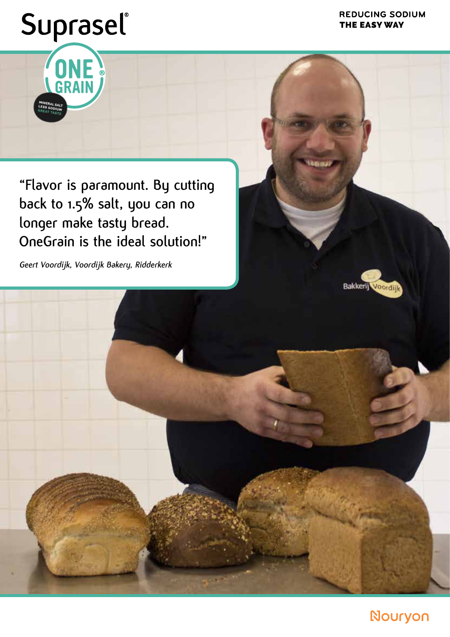### **REDUCING SODIUM** THE EASY WAY

## Suprasel®

ONE

**"Flavor is paramount. By cutting back to 1.5% salt, you can no longer make tasty bread. OneGrain is the ideal solution!"**

**Geert Voordijk, Voordijk Bakery, Ridderkerk**

Bakkerij Voordijl



Nouryon